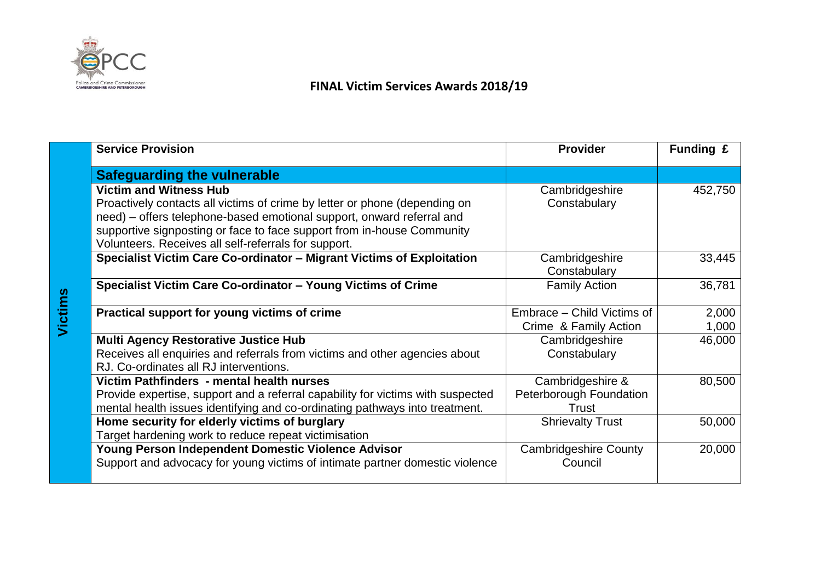

**Victims**

## **FINAL Victim Services Awards 2018/19**

| <b>Service Provision</b>                                                                                                                                                                                                                                                                                               | <b>Provider</b>                                      | Funding £      |
|------------------------------------------------------------------------------------------------------------------------------------------------------------------------------------------------------------------------------------------------------------------------------------------------------------------------|------------------------------------------------------|----------------|
| <b>Safeguarding the vulnerable</b>                                                                                                                                                                                                                                                                                     |                                                      |                |
| <b>Victim and Witness Hub</b><br>Proactively contacts all victims of crime by letter or phone (depending on<br>need) – offers telephone-based emotional support, onward referral and<br>supportive signposting or face to face support from in-house Community<br>Volunteers. Receives all self-referrals for support. | Cambridgeshire<br>Constabulary                       | 452,750        |
| Specialist Victim Care Co-ordinator - Migrant Victims of Exploitation                                                                                                                                                                                                                                                  | Cambridgeshire<br>Constabulary                       | 33,445         |
| Specialist Victim Care Co-ordinator - Young Victims of Crime                                                                                                                                                                                                                                                           | <b>Family Action</b>                                 | 36,781         |
| Practical support for young victims of crime                                                                                                                                                                                                                                                                           | Embrace – Child Victims of<br>Crime & Family Action  | 2,000<br>1,000 |
| <b>Multi Agency Restorative Justice Hub</b><br>Receives all enquiries and referrals from victims and other agencies about<br>RJ. Co-ordinates all RJ interventions.                                                                                                                                                    | Cambridgeshire<br>Constabulary                       | 46,000         |
| Victim Pathfinders - mental health nurses<br>Provide expertise, support and a referral capability for victims with suspected<br>mental health issues identifying and co-ordinating pathways into treatment.                                                                                                            | Cambridgeshire &<br>Peterborough Foundation<br>Trust | 80,500         |
| Home security for elderly victims of burglary<br>Target hardening work to reduce repeat victimisation                                                                                                                                                                                                                  | <b>Shrievalty Trust</b>                              | 50,000         |
| Young Person Independent Domestic Violence Advisor<br>Support and advocacy for young victims of intimate partner domestic violence                                                                                                                                                                                     | <b>Cambridgeshire County</b><br>Council              | 20,000         |